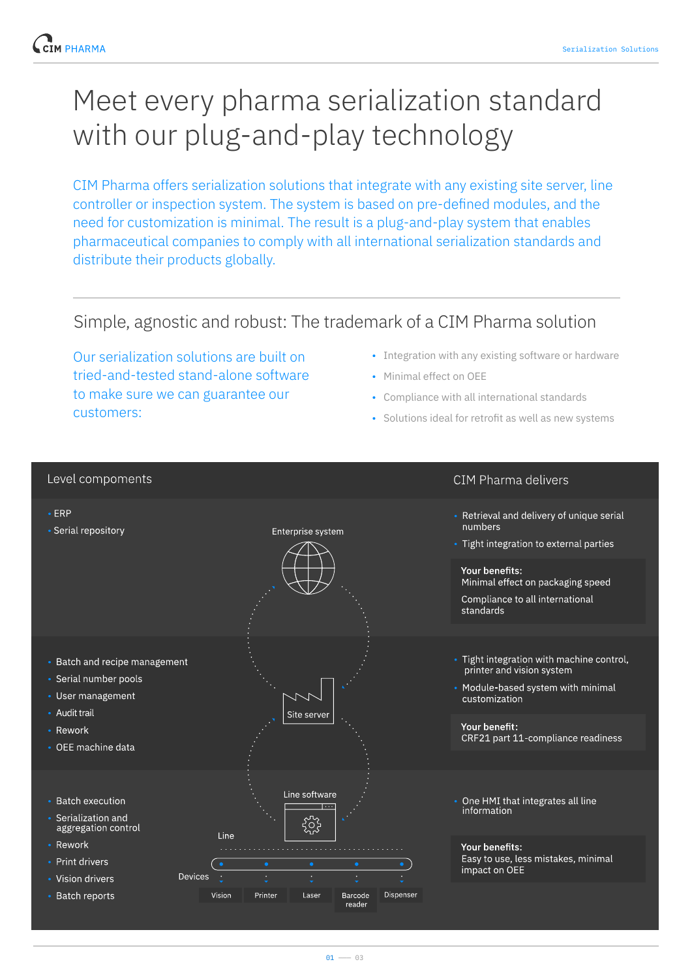# Meet every pharma serialization standard with our plug-and-play technology

CIM Pharma offers serialization solutions that integrate with any existing site server, line controller or inspection system. The system is based on pre-defined modules, and the need for customization is minimal. The result is a plug-and-play system that enables pharmaceutical companies to comply with all international serialization standards and distribute their products globally.

# Simple, agnostic and robust: The trademark of a CIM Pharma solution

Our serialization solutions are built on tried-and-tested stand-alone software to make sure we can guarantee our customers:

- Integration with any existing software or hardware
- Minimal effect on OEE
- Compliance with all international standards
- Solutions ideal for retrofit as well as new systems

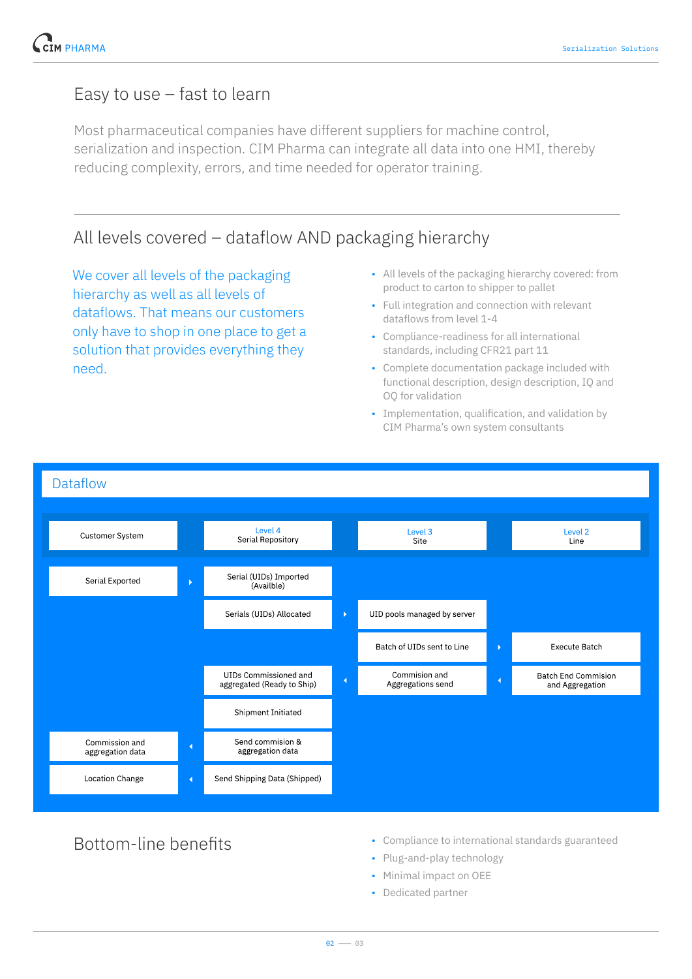# Easy to use – fast to learn

Most pharmaceutical companies have different suppliers for machine control, serialization and inspection. CIM Pharma can integrate all data into one HMI, thereby reducing complexity, errors, and time needed for operator training.

# All levels covered – dataflow AND packaging hierarchy

We cover all levels of the packaging hierarchy as well as all levels of dataflows. That means our customers only have to shop in one place to get a solution that provides everything they need.

- All levels of the packaging hierarchy covered: from product to carton to shipper to pallet
- Full integration and connection with relevant dataflows from level 1-4
- Compliance-readiness for all international standards, including CFR21 part 11
- Complete documentation package included with functional description, design description, IQ and OQ for validation
- Implementation, qualification, and validation by CIM Pharma's own system consultants



- Bottom-line benefits Compliance to international standards guaranteed
	- Plug-and-play technology
	- Minimal impact on OEE
	- Dedicated partner